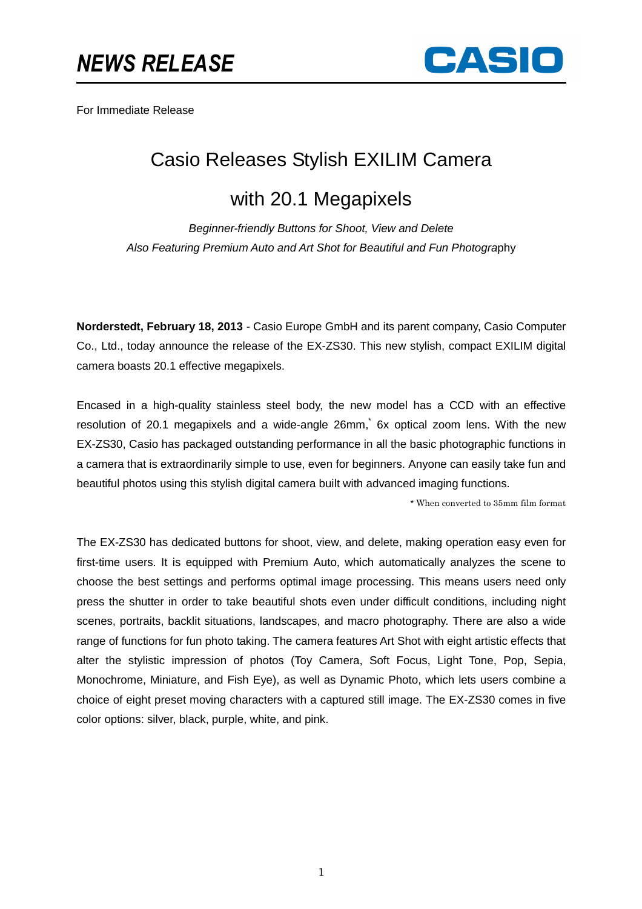

For Immediate Release

## Casio Releases Stylish EXILIM Camera

## with 20.1 Megapixels

Beginner-friendly Buttons for Shoot, View and Delete Also Featuring Premium Auto and Art Shot for Beautiful and Fun Photography

**Norderstedt, February 18, 2013** - Casio Europe GmbH and its parent company, Casio Computer Co., Ltd., today announce the release of the EX-ZS30. This new stylish, compact EXILIM digital camera boasts 20.1 effective megapixels.

Encased in a high-quality stainless steel body, the new model has a CCD with an effective resolution of 20.1 megapixels and a wide-angle 26mm, 6x optical zoom lens. With the new EX-ZS30, Casio has packaged outstanding performance in all the basic photographic functions in a camera that is extraordinarily simple to use, even for beginners. Anyone can easily take fun and beautiful photos using this stylish digital camera built with advanced imaging functions.

\* When converted to 35mm film format

The EX-ZS30 has dedicated buttons for shoot, view, and delete, making operation easy even for first-time users. It is equipped with Premium Auto, which automatically analyzes the scene to choose the best settings and performs optimal image processing. This means users need only press the shutter in order to take beautiful shots even under difficult conditions, including night scenes, portraits, backlit situations, landscapes, and macro photography. There are also a wide range of functions for fun photo taking. The camera features Art Shot with eight artistic effects that alter the stylistic impression of photos (Toy Camera, Soft Focus, Light Tone, Pop, Sepia, Monochrome, Miniature, and Fish Eye), as well as Dynamic Photo, which lets users combine a choice of eight preset moving characters with a captured still image. The EX-ZS30 comes in five color options: silver, black, purple, white, and pink.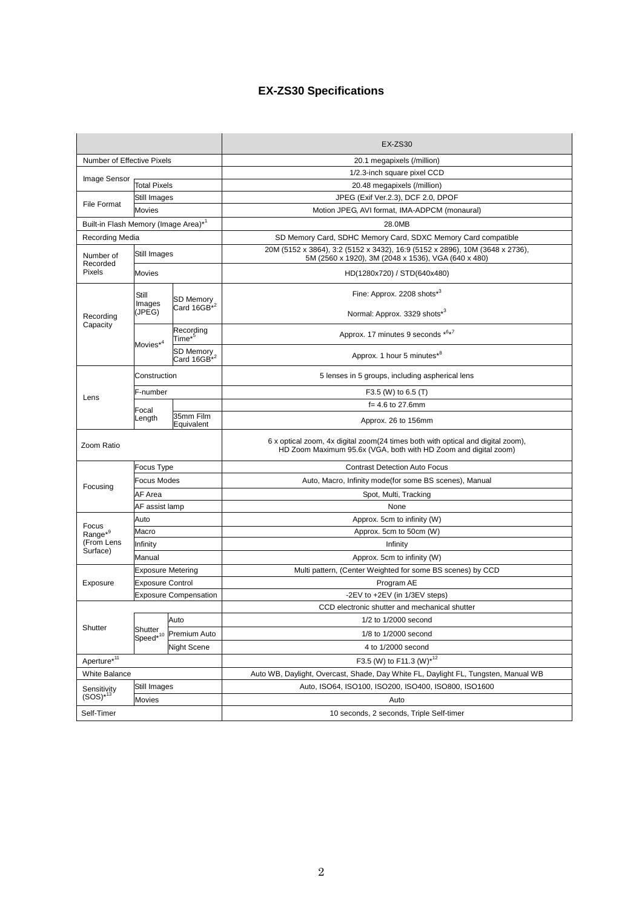## **EX-ZS30 Specifications**

|                                                  |                                 |                                        | $EX-ZS30$                                                                                                                                          |
|--------------------------------------------------|---------------------------------|----------------------------------------|----------------------------------------------------------------------------------------------------------------------------------------------------|
| Number of Effective Pixels                       |                                 |                                        | 20.1 megapixels (/million)                                                                                                                         |
| Image Sensor                                     |                                 |                                        | 1/2.3-inch square pixel CCD                                                                                                                        |
|                                                  | <b>Total Pixels</b>             |                                        | 20.48 megapixels (/million)                                                                                                                        |
| File Format                                      | Still Images                    |                                        | JPEG (Exif Ver.2.3), DCF 2.0, DPOF                                                                                                                 |
|                                                  | <b>Movies</b>                   |                                        | Motion JPEG, AVI format, IMA-ADPCM (monaural)                                                                                                      |
| Built-in Flash Memory (Image Area)* <sup>1</sup> |                                 |                                        | 28.0MB                                                                                                                                             |
| Recording Media                                  |                                 |                                        | SD Memory Card, SDHC Memory Card, SDXC Memory Card compatible                                                                                      |
| Number of<br>Recorded<br>Pixels                  | Still Images                    |                                        | 20M (5152 x 3864), 3:2 (5152 x 3432), 16:9 (5152 x 2896), 10M (3648 x 2736),<br>5M (2560 x 1920), 3M (2048 x 1536), VGA (640 x 480)                |
|                                                  | <b>Movies</b>                   |                                        | HD(1280x720) / STD(640x480)                                                                                                                        |
| Recording<br>Capacity                            | Still<br>Images<br>(JPEG)       | SD Memory<br>Card 16GB <sup>*2</sup>   | Fine: Approx. 2208 shots*3                                                                                                                         |
|                                                  |                                 |                                        | Normal: Approx. 3329 shots*3                                                                                                                       |
|                                                  | Movies <sup>*4</sup>            | Recording<br>$\mathsf{Time}^{\star 5}$ | Approx. 17 minutes 9 seconds *6*7                                                                                                                  |
|                                                  |                                 | SD Memory<br>Card 16GB <sup>*2</sup>   | Approx. 1 hour 5 minutes*8                                                                                                                         |
| Lens                                             | Construction                    |                                        | 5 lenses in 5 groups, including aspherical lens                                                                                                    |
|                                                  | F-number                        |                                        | F3.5 (W) to 6.5 (T)                                                                                                                                |
|                                                  | Focal                           |                                        | $f = 4.6$ to 27.6mm                                                                                                                                |
|                                                  | Length                          | 35mm Film<br>Equivalent                | Approx. 26 to 156mm                                                                                                                                |
| Zoom Ratio                                       |                                 |                                        | 6 x optical zoom, 4x digital zoom(24 times both with optical and digital zoom),<br>HD Zoom Maximum 95.6x (VGA, both with HD Zoom and digital zoom) |
|                                                  | <b>Focus Type</b>               |                                        | <b>Contrast Detection Auto Focus</b>                                                                                                               |
|                                                  | <b>Focus Modes</b>              |                                        | Auto, Macro, Infinity mode(for some BS scenes), Manual                                                                                             |
| Focusing                                         | AF Area                         |                                        | Spot, Multi, Tracking                                                                                                                              |
|                                                  | AF assist lamp                  |                                        | None                                                                                                                                               |
| Focus<br>$Range^{*9}$<br>(From Lens<br>Surface)  | Auto                            |                                        | Approx. 5cm to infinity (W)                                                                                                                        |
|                                                  | Macro                           |                                        | Approx. 5cm to 50cm (W)                                                                                                                            |
|                                                  | Infinity                        |                                        | Infinity                                                                                                                                           |
|                                                  | Manual                          |                                        | Approx. 5cm to infinity (W)                                                                                                                        |
| Exposure                                         | <b>Exposure Metering</b>        |                                        | Multi pattern, (Center Weighted for some BS scenes) by CCD                                                                                         |
|                                                  | <b>Exposure Control</b>         |                                        | Program AE                                                                                                                                         |
|                                                  | <b>Exposure Compensation</b>    |                                        | -2EV to +2EV (in 1/3EV steps)                                                                                                                      |
| Shutter                                          |                                 |                                        | CCD electronic shutter and mechanical shutter                                                                                                      |
|                                                  | Shutter<br>Speed <sup>*10</sup> | Auto                                   | 1/2 to 1/2000 second                                                                                                                               |
|                                                  |                                 | Premium Auto                           | 1/8 to 1/2000 second                                                                                                                               |
|                                                  |                                 | Night Scene                            | 4 to 1/2000 second                                                                                                                                 |
| Aperture <sup>*11</sup>                          |                                 |                                        | F3.5 (W) to F11.3 (W)*12                                                                                                                           |
| <b>White Balance</b>                             |                                 |                                        | Auto WB, Daylight, Overcast, Shade, Day White FL, Daylight FL, Tungsten, Manual WB                                                                 |
|                                                  | Still Images                    |                                        | Auto, ISO64, ISO100, ISO200, ISO400, ISO800, ISO1600                                                                                               |
| Sensitivity<br>$(SOS)*13$                        | Movies                          |                                        | Auto                                                                                                                                               |
| Self-Timer                                       |                                 |                                        | 10 seconds, 2 seconds, Triple Self-timer                                                                                                           |